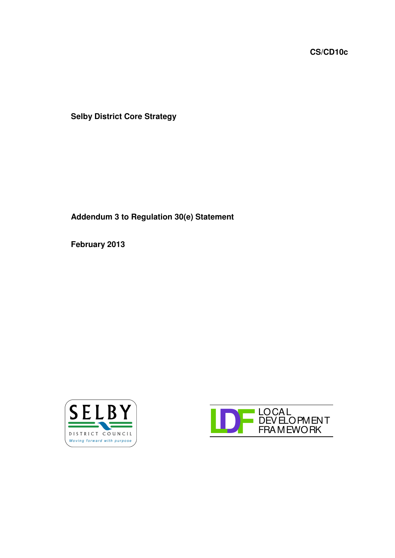**CS/CD10c**

**Selby District Core Strategy**

**Addendum 3 to Regulation 30(e) Statement**

**February 2013**



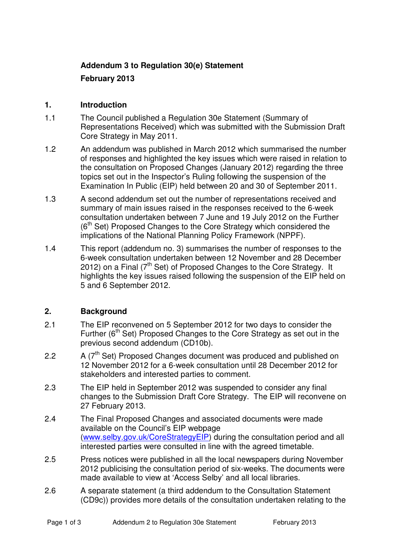## **Addendum 3 to Regulation 30(e) Statement**

## **February 2013**

#### **1. Introduction**

- 1.1 The Council published a Regulation 30e Statement (Summary of Representations Received) which was submitted with the Submission Draft Core Strategy in May 2011.
- 1.2 An addendum was published in March 2012 which summarised the number of responses and highlighted the key issues which were raised in relation to the consultation on Proposed Changes (January 2012) regarding the three topics set out in the Inspector's Ruling following the suspension of the Examination In Public (EIP) held between 20 and 30 of September 2011.
- 1.3 A second addendum set out the number of representations received and summary of main issues raised in the responses received to the 6-week consultation undertaken between 7 June and 19 July 2012 on the Further (6<sup>th</sup> Set) Proposed Changes to the Core Strategy which considered the implications of the National Planning Policy Framework (NPPF).
- 1.4 This report (addendum no. 3) summarises the number of responses to the 6-week consultation undertaken between 12 November and 28 December 2012) on a Final ( $7<sup>th</sup>$  Set) of Proposed Changes to the Core Strategy. It highlights the key issues raised following the suspension of the EIP held on 5 and 6 September 2012.

### **2. Background**

- 2.1 The EIP reconvened on 5 September 2012 for two days to consider the Further (6<sup>th</sup> Set) Proposed Changes to the Core Strategy as set out in the previous second addendum (CD10b).
- 2.2  $A(T<sup>th</sup> Set)$  Proposed Changes document was produced and published on 12 November 2012 for a 6-week consultation until 28 December 2012 for stakeholders and interested parties to comment.
- 2.3 The EIP held in September 2012 was suspended to consider any final changes to the Submission Draft Core Strategy. The EIP will reconvene on 27 February 2013.
- 2.4 The Final Proposed Changes and associated documents were made available on the Council's EIP webpage (www.selby.gov.uk/CoreStrategyEIP) during the consultation period and all interested parties were consulted in line with the agreed timetable.
- 2.5 Press notices were published in all the local newspapers during November 2012 publicising the consultation period of six-weeks. The documents were made available to view at 'Access Selby' and all local libraries.
- 2.6 A separate statement (a third addendum to the Consultation Statement (CD9c)) provides more details of the consultation undertaken relating to the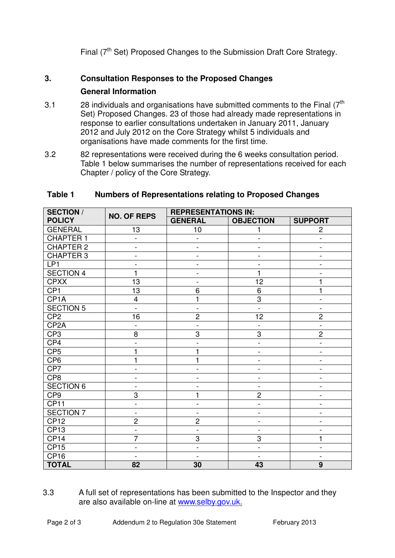Final  $(7<sup>th</sup>$  Set) Proposed Changes to the Submission Draft Core Strategy.

# **3. Consultation Responses to the Proposed Changes**

## **General Information**

- 3.1  $\hspace{1cm}$  28 individuals and organisations have submitted comments to the Final (7<sup>th</sup> Set) Proposed Changes. 23 of those had already made representations in response to earlier consultations undertaken in January 2011, January 2012 and July 2012 on the Core Strategy whilst 5 individuals and organisations have made comments for the first time.
- 3.2 82 representations were received during the 6 weeks consultation period. Table 1 below summarises the number of representations received for each Chapter / policy of the Core Strategy.

| <b>SECTION /</b><br><b>POLICY</b> | <b>NO. OF REPS</b>           | <b>REPRESENTATIONS IN:</b>   |                              |                              |
|-----------------------------------|------------------------------|------------------------------|------------------------------|------------------------------|
|                                   |                              | <b>GENERAL</b>               | <b>OBJECTION</b>             | <b>SUPPORT</b>               |
| <b>GENERAL</b>                    | 13                           | 10                           | 1                            | $\overline{c}$               |
| <b>CHAPTER 1</b>                  | $\frac{1}{2}$                | $\qquad \qquad \blacksquare$ | $\overline{\phantom{a}}$     | $\overline{\phantom{0}}$     |
| <b>CHAPTER 2</b>                  | $\qquad \qquad -$            | $\qquad \qquad \blacksquare$ | $\qquad \qquad -$            | $\overline{\phantom{0}}$     |
| <b>CHAPTER 3</b>                  | $\qquad \qquad -$            | $\qquad \qquad \blacksquare$ | $\qquad \qquad \blacksquare$ | $\overline{a}$               |
| LP <sub>1</sub>                   | $\overline{\phantom{0}}$     | $\qquad \qquad \blacksquare$ | $\overline{a}$               | $\overline{\phantom{0}}$     |
| <b>SECTION 4</b>                  | 1                            | $\qquad \qquad -$            | $\mathbf{1}$                 |                              |
| CPXX                              | 13                           | $\qquad \qquad \blacksquare$ | 12                           | 1                            |
| CP <sub>1</sub>                   | 13                           | 6                            | $6\phantom{1}6$              | 1                            |
| CP <sub>1</sub> A                 | 4                            | 1                            | $\overline{3}$               | $\overline{a}$               |
| <b>SECTION 5</b>                  | $\overline{\phantom{0}}$     | $\blacksquare$               | $\frac{1}{2}$                | $\overline{\phantom{0}}$     |
| CP <sub>2</sub>                   | 16                           | $\overline{c}$               | 12                           | $\overline{2}$               |
| CP <sub>2</sub> A                 | $\overline{a}$               | $\overline{\phantom{a}}$     | $\overline{\phantom{a}}$     | $\overline{\phantom{a}}$     |
| CP <sub>3</sub>                   | 8                            | 3                            | $\overline{3}$               | $\overline{2}$               |
| CP4                               | $\qquad \qquad \blacksquare$ | $\qquad \qquad -$            | $\qquad \qquad -$            | $\frac{1}{2}$                |
| CP <sub>5</sub>                   | 1                            | 1                            | $\qquad \qquad -$            | $\overline{\phantom{0}}$     |
| CP <sub>6</sub>                   | $\overline{1}$               | 1                            | $\qquad \qquad \blacksquare$ | $\overline{\phantom{0}}$     |
| CP7                               | $\qquad \qquad \blacksquare$ | $\qquad \qquad \blacksquare$ | $\qquad \qquad -$            | $\frac{1}{2}$                |
| CP <sub>8</sub>                   | $\qquad \qquad \blacksquare$ | $\qquad \qquad -$            | $\qquad \qquad \blacksquare$ | $\qquad \qquad -$            |
| <b>SECTION 6</b>                  | $\qquad \qquad \blacksquare$ | $\overline{a}$               | $\overline{\phantom{0}}$     | -                            |
| CP <sub>9</sub>                   | 3                            | 1                            | $\overline{2}$               | -                            |
| CP <sub>11</sub>                  | $\blacksquare$               | $\qquad \qquad \blacksquare$ | $\overline{\phantom{a}}$     | $\overline{\phantom{0}}$     |
| <b>SECTION 7</b>                  | $\frac{1}{2}$                | $\blacksquare$               | $\qquad \qquad \blacksquare$ | $\frac{1}{2}$                |
| <b>CP12</b>                       | $\overline{c}$               | $\overline{c}$               | $\qquad \qquad \blacksquare$ | $\overline{\phantom{0}}$     |
| CP <sub>13</sub>                  | $\overline{a}$               | $\overline{a}$               | $\overline{\phantom{a}}$     |                              |
| CP <sub>14</sub>                  | 7                            | 3                            | 3                            | 1                            |
| CP15                              | $\qquad \qquad -$            | $\overline{a}$               | $\qquad \qquad -$            | $\overline{a}$               |
| CP <sub>16</sub>                  | $\overline{a}$               | $\overline{a}$               | $\overline{\phantom{a}}$     | $\qquad \qquad \blacksquare$ |
| <b>TOTAL</b>                      | $\overline{82}$              | 30                           | 43                           | $\overline{9}$               |

## **Table 1 Numbers of Representations relating to Proposed Changes**

3.3 A full set of representations has been submitted to the Inspector and they are also available on-line at www.selby.gov.uk.